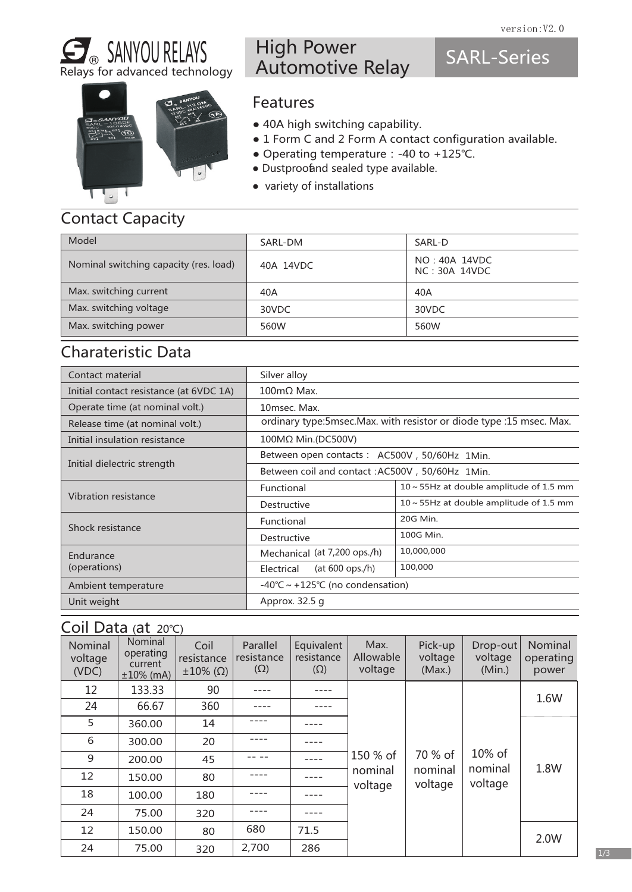SARL-Series

# SANYOU RELAYS Relays for advanced technology



## High Power Automotive Relay

#### Features

- 40A high switching capability.
- 1 Form C and 2 Form A contact configuration available.
- Operating temperature:-40 to +125℃.
- Dustproofand sealed type available.
- variety of installations

# Contact Capacity

| Model                                  | SARL-DM   | SARL-D                         |
|----------------------------------------|-----------|--------------------------------|
| Nominal switching capacity (res. load) | 40A 14VDC | NO: 40A 14VDC<br>NC: 30A 14VDC |
| Max. switching current                 | 40A       | 40A                            |
| Max. switching voltage                 | 30VDC     | 30VDC                          |
| Max. switching power                   | 560W      | 560W                           |

### Charateristic Data

| Contact material                        | Silver alloy                                     |                                                                        |  |  |
|-----------------------------------------|--------------------------------------------------|------------------------------------------------------------------------|--|--|
| Initial contact resistance (at 6VDC 1A) | $100 \text{m}\Omega$ Max.                        |                                                                        |  |  |
| Operate time (at nominal volt.)         | 10msec. Max.                                     |                                                                        |  |  |
| Release time (at nominal volt.)         |                                                  | ordinary type: 5msec. Max. with resistor or diode type : 15 msec. Max. |  |  |
| Initial insulation resistance           | 100MΩ Min.(DC500V)                               |                                                                        |  |  |
|                                         | Between open contacts: AC500V, 50/60Hz 1Min.     |                                                                        |  |  |
| Initial dielectric strength             | Between coil and contact : AC500V, 50/60Hz 1Min. |                                                                        |  |  |
|                                         | Functional                                       | $10 \sim 55$ Hz at double amplitude of 1.5 mm                          |  |  |
| Vibration resistance                    | Destructive                                      | $10 \sim 55$ Hz at double amplitude of 1.5 mm                          |  |  |
| Shock resistance                        | Functional                                       | 20G Min.                                                               |  |  |
|                                         | Destructive                                      | 100G Min.                                                              |  |  |
| Endurance                               | Mechanical (at 7,200 ops./h)                     | 10,000,000                                                             |  |  |
| (operations)                            | (at $600$ ops./h)<br>Electrical                  | 100,000                                                                |  |  |
| Ambient temperature                     | $-40^{\circ}$ C ~ +125°C (no condensation)       |                                                                        |  |  |
| Unit weight                             | Approx. 32.5 g                                   |                                                                        |  |  |

## Coil Data (at 20℃)

| Nominal<br>voltage<br>(VDC) | Nominal<br>operating<br>current<br>$±10\%$ (mA) | Coil<br>resistance<br>$\pm 10\%$ ( $\Omega$ ) | Parallel<br>resistance<br>$(\Omega)$ | Equivalent<br>resistance<br>$(\Omega)$ | Max.<br>Allowable<br>voltage | Pick-up<br>voltage<br>(Max.) | Drop-out<br>voltage<br>(Min.) | Nominal<br>operating<br>power |
|-----------------------------|-------------------------------------------------|-----------------------------------------------|--------------------------------------|----------------------------------------|------------------------------|------------------------------|-------------------------------|-------------------------------|
| 12                          | 133.33                                          | 90                                            |                                      |                                        |                              |                              |                               |                               |
| 24                          | 66.67                                           | 360                                           |                                      |                                        |                              |                              |                               | 1.6W                          |
| 5                           | 360.00                                          | 14                                            |                                      |                                        |                              |                              |                               |                               |
| 6                           | 300.00                                          | 20                                            |                                      |                                        |                              |                              |                               |                               |
| 9                           | 200.00                                          | 45                                            |                                      |                                        | 150 % of                     | 70 % of                      | 10% of                        | 1.8W                          |
| 12                          | 150.00                                          | 80                                            |                                      |                                        | nominal<br>voltage           | nominal<br>voltage           | nominal<br>voltage            |                               |
| 18                          | 100.00                                          | 180                                           |                                      |                                        |                              |                              |                               |                               |
| 24                          | 75.00                                           | 320                                           |                                      |                                        |                              |                              |                               |                               |
| 12                          | 150.00                                          | 80                                            | 680                                  | 71.5                                   |                              |                              |                               | 2.0W                          |
| 24                          | 75.00                                           | 320                                           | 2,700                                | 286                                    |                              |                              |                               |                               |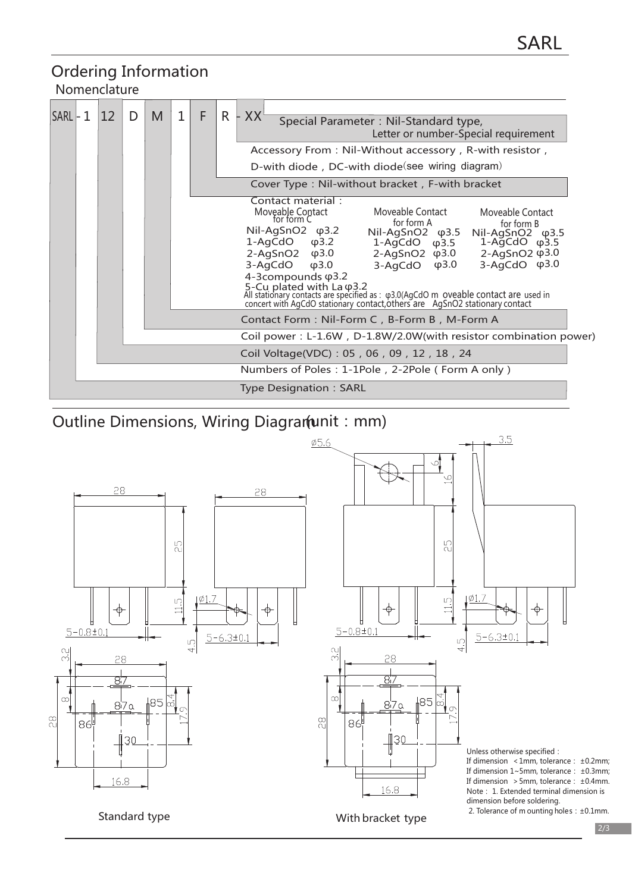#### Ordering Information Nomenclature

| $SARL - 1$ | $ 12\rangle$ | D | M | 1<br>F |  | R | XX <sup>L</sup><br>Special Parameter: Nil-Standard type,<br>Letter or number-Special requirement<br>Accessory From: Nil-Without accessory, R-with resistor,<br>D-with diode, DC-with diode(see wiring diagram)<br>Cover Type: Nil-without bracket, F-with bracket                                                                                                                                                                                                                                                                                                                                                                                                 |
|------------|--------------|---|---|--------|--|---|-------------------------------------------------------------------------------------------------------------------------------------------------------------------------------------------------------------------------------------------------------------------------------------------------------------------------------------------------------------------------------------------------------------------------------------------------------------------------------------------------------------------------------------------------------------------------------------------------------------------------------------------------------------------|
|            |              |   |   |        |  |   | Contact material:<br>Moveable Contact<br>Moveable Contact<br>for form C<br>Moveable Contact<br>for form A<br>for form B<br>Nil-AgSnO2 φ3.2<br>Nil-AgSnO2 φ3.5<br>Nil-AgSnO <sub>2</sub> $\varphi$ 3.5<br>1-AgCdO $\phi$ 3.5 1-AgCdO $\phi$ 3.5<br>$1-\text{AgCdO}$ $\varphi$ 3.2<br>2-AgSnO2 φ3.0 2-AgSnO2 φ3.0<br>$2-\text{AgSnO2}$ $\varphi$ 3.0<br>$3-AqCdO$ $\varphi$ 3.0<br>$3-AqCdO$ $\varphi$ 3.0<br>$\phi$ 3.0<br>3-AgCdO<br>4-3compounds $\varphi$ 3.2<br>5-Cu plated with La φ3.2<br>All stationary contacts are specified as : φ3.0(AgCdO m oveable contact are used in<br>concert with AgCdO stationary contact, others are AgSnO2 stationary contact |
|            |              |   |   |        |  |   | Contact Form: Nil-Form C, B-Form B, M-Form A<br>Coil power: L-1.6W, D-1.8W/2.0W(with resistor combination power)                                                                                                                                                                                                                                                                                                                                                                                                                                                                                                                                                  |
|            |              |   |   |        |  |   | Coil Voltage(VDC): 05, 06, 09, 12, 18, 24                                                                                                                                                                                                                                                                                                                                                                                                                                                                                                                                                                                                                         |
|            |              |   |   |        |  |   | Numbers of Poles: 1-1Pole, 2-2Pole (Form A only)                                                                                                                                                                                                                                                                                                                                                                                                                                                                                                                                                                                                                  |
|            |              |   |   |        |  |   | <b>Type Designation: SARL</b>                                                                                                                                                                                                                                                                                                                                                                                                                                                                                                                                                                                                                                     |

Outline Dimensions, Wiring Diagram (unit: mm)